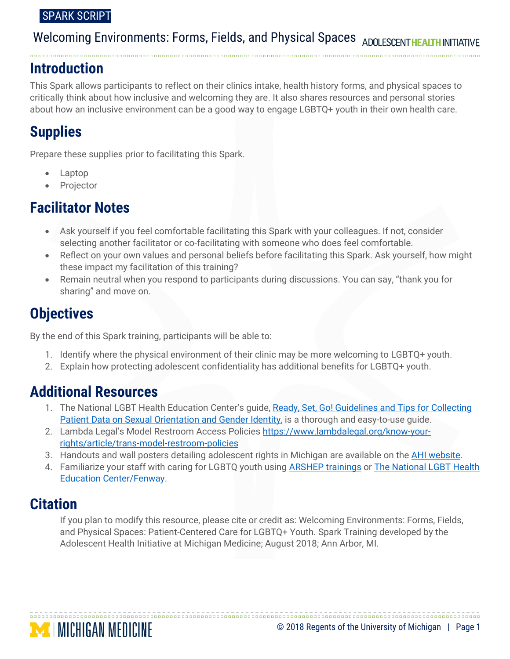### SPARK SCRIPT

# Welcoming Environments: Forms, Fields, and Physical Spaces ADOLESCENTHEALTHINI

## **Introduction**

This Spark allows participants to reflect on their clinics intake, health history forms, and physical spaces to critically think about how inclusive and welcoming they are. It also shares resources and personal stories about how an inclusive environment can be a good way to engage LGBTQ+ youth in their own health care.

# **Supplies**

Prepare these supplies prior to facilitating this Spark.

- Laptop
- Projector

# **Facilitator Notes**

- Ask yourself if you feel comfortable facilitating this Spark with your colleagues. If not, consider selecting another facilitator or co-facilitating with someone who does feel comfortable.
- Reflect on your own values and personal beliefs before facilitating this Spark. Ask yourself, how might these impact my facilitation of this training?
- Remain neutral when you respond to participants during discussions. You can say, "thank you for sharing" and move on.

# **Objectives**

By the end of this Spark training, participants will be able to:

- 1. Identify where the physical environment of their clinic may be more welcoming to LGBTQ+ youth.
- 2. Explain how protecting adolescent confidentiality has additional benefits for LGBTQ+ youth.

# **Additional Resources**

- 1. The National LGBT Health Education Center's guide, Ready, Set, Go! Guidelines and Tips for Collecting [Patient Data on Sexual Orientation and Gender Identity,](https://www.lgbthealtheducation.org/wp-content/uploads/2018/03/Ready-Set-Go-publication-Updated-April-2018.pdf) is a thorough and easy-to-use guide.
- 2. Lambda Legal's [Model Restroom Access Policies](http://www.lambdalegal.org/know-your-rights/transgender/model-restroom-policies) [https://www.lambdalegal.org/know-your](https://www.lambdalegal.org/know-your-rights/article/trans-model-restroom-policies)[rights/article/trans-model-restroom-policies](https://www.lambdalegal.org/know-your-rights/article/trans-model-restroom-policies)
- 3. Handouts and wall posters detailing adolescent rights in Michigan are available on the [AHI website.](http://www.umhs-adolescenthealth.org/improving-care/health-center-materials/)
- 4. Familiarize your staff with caring for LGBTQ youth using **ARSHEP trainings or The National LGBT Health** [Education Center/Fenway.](http://www.lgbthealtheducation.org/training/learning-modules/)

# **Citation**

If you plan to modify this resource, please cite or credit as: Welcoming Environments: Forms, Fields, and Physical Spaces: Patient-Centered Care for LGBTQ+ Youth. Spark Training developed by the Adolescent Health Initiative at Michigan Medicine; August 2018; Ann Arbor, MI.

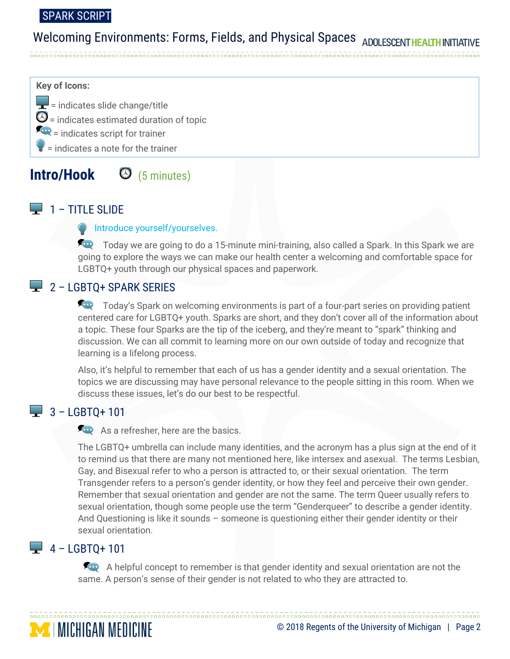### SPARK SCRIPT

# Welcoming Environments: Forms, Fields, and Physical Spaces ADOLESCENTHEALTHINI

### **Key of Icons:**

 $\left| \rule{0pt}{2.5mm} \right|$  = indicates slide change/title  $\mathbf{\Theta}$  = indicates estimated duration of topic  $=\frac{1}{2}$  indicates script for trainer = indicates a note for the trainer

## **Intro/Hook** (5 minutes)

## $\Box$  1 – TITLE SLIDE

#### **Introduce yourself/yourselves.**

Today we are going to do a 15-minute mini-training, also called a Spark. In this Spark we are going to explore the ways we can make our health center a welcoming and comfortable space for LGBTQ+ youth through our physical spaces and paperwork.

## $2 -$  LGBTO+ SPARK SERIES

Today's Spark on welcoming environments is part of a four-part series on providing patient centered care for LGBTQ+ youth. Sparks are short, and they don't cover all of the information about a topic. These four Sparks are the tip of the iceberg, and they're meant to "spark" thinking and discussion. We can all commit to learning more on our own outside of today and recognize that learning is a lifelong process.

Also, it's helpful to remember that each of us has a gender identity and a sexual orientation. The topics we are discussing may have personal relevance to the people sitting in this room. When we discuss these issues, let's do our best to be respectful.

## $\frac{1}{2}$  3 – LGBTQ+ 101

As a refresher, here are the basics.

The LGBTQ+ umbrella can include many identities, and the acronym has a plus sign at the end of it to remind us that there are many not mentioned here, like intersex and asexual. The terms Lesbian, Gay, and Bisexual refer to who a person is attracted to, or their sexual orientation. The term Transgender refers to a person's gender identity, or how they feel and perceive their own gender. Remember that sexual orientation and gender are not the same. The term Queer usually refers to sexual orientation, though some people use the term "Genderqueer" to describe a gender identity. And Questioning is like it sounds – someone is questioning either their gender identity or their sexual orientation.

## $-4 -$  LGBTO+ 101

**MICHIGAN MEDICINE** 

A helpful concept to remember is that gender identity and sexual orientation are not the same. A person's sense of their gender is not related to who they are attracted to.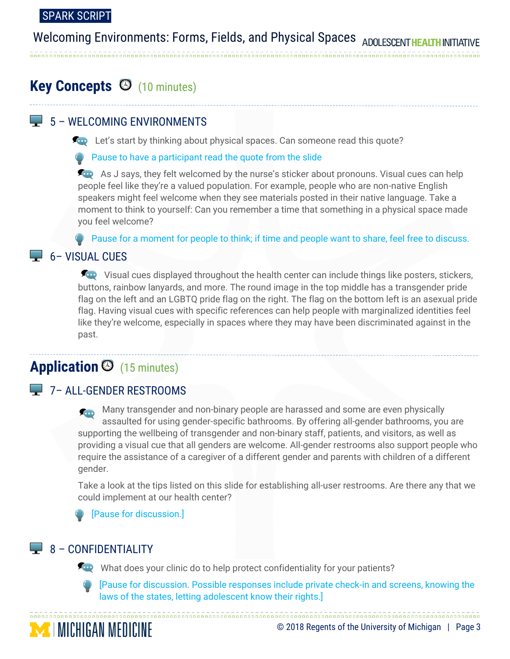# Welcoming Environments: Forms, Fields, and Physical Spaces ADOLESCENTHEA

# **Key Concepts**  $\Theta$  (10 minutes)

## 5 – WELCOMING ENVIRONMENTS

**Let's start by thinking about physical spaces. Can someone read this quote?** 

### Pause to have a participant read the quote from the slide

As J says, they felt welcomed by the nurse's sticker about pronouns. Visual cues can help people feel like they're a valued population. For example, people who are non-native English speakers might feel welcome when they see materials posted in their native language. Take a moment to think to yourself: Can you remember a time that something in a physical space made you feel welcome?

**Pause for a moment for people to think; if time and people want to share, feel free to discuss.** 

## $\Box$  6 – VISUAL CUES

Visual cues displayed throughout the health center can include things like posters, stickers, buttons, rainbow lanyards, and more. The round image in the top middle has a transgender pride flag on the left and an LGBTQ pride flag on the right. The flag on the bottom left is an asexual pride flag. Having visual cues with specific references can help people with marginalized identities feel like they're welcome, especially in spaces where they may have been discriminated against in the past.

# Application <sup>(15 minutes)</sup>

## 7– ALL-GENDER RESTROOMS

Many transgender and non-binary people are harassed and some are even physically assaulted for using gender-specific bathrooms. By offering all-gender bathrooms, you are supporting the wellbeing of transgender and non-binary staff, patients, and visitors, as well as providing a visual cue that all genders are welcome. All-gender restrooms also support people who require the assistance of a caregiver of a different gender and parents with children of a different gender.

Take a look at the tips listed on this slide for establishing all-user restrooms. Are there any that we could implement at our health center?

[Pause for discussion.]

## $\Box$  8 – CONFIDENTIALITY

What does your clinic do to help protect confidentiality for your patients?



**MICHIGAN MEDICINE** 

[Pause for discussion. Possible responses include private check-in and screens, knowing the laws of the states, letting adolescent know their rights.]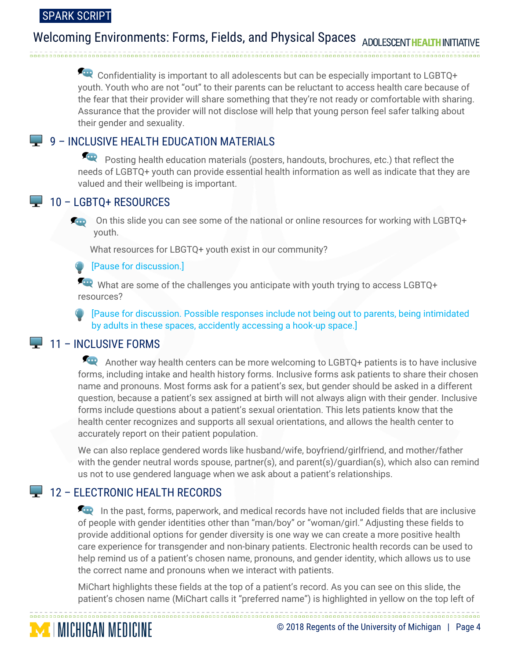# Welcoming Environments: Forms, Fields, and Physical Spaces ADOLESCENT

 Confidentiality is important to all adolescents but can be especially important to LGBTQ+ youth. Youth who are not "out" to their parents can be reluctant to access health care because of the fear that their provider will share something that they're not ready or comfortable with sharing. Assurance that the provider will not disclose will help that young person feel safer talking about their gender and sexuality.

## $\Box$  9 – INCLUSIVE HEALTH EDUCATION MATERIALS

Posting health education materials (posters, handouts, brochures, etc.) that reflect the needs of LGBTQ+ youth can provide essential health information as well as indicate that they are valued and their wellbeing is important.

### $\Box$  10 – LGBTQ+ RESOURCES

On this slide you can see some of the national or online resources for working with LGBTQ+ youth.

What resources for LBGTQ+ youth exist in our community?

### [Pause for discussion.]

What are some of the challenges you anticipate with youth trying to access LGBTQ+ resources?

[Pause for discussion. Possible responses include not being out to parents, being intimidated by adults in these spaces, accidently accessing a hook-up space.]

## $\Box$  11 – INCLUSIVE FORMS

**MICHIGAN MEDICINE** 

Another way health centers can be more welcoming to LGBTQ+ patients is to have inclusive forms, including intake and health history forms. Inclusive forms ask patients to share their chosen name and pronouns. Most forms ask for a patient's sex, but gender should be asked in a different question, because a patient's sex assigned at birth will not always align with their gender. Inclusive forms include questions about a patient's sexual orientation. This lets patients know that the health center recognizes and supports all sexual orientations, and allows the health center to accurately report on their patient population.

We can also replace gendered words like husband/wife, boyfriend/girlfriend, and mother/father with the gender neutral words spouse, partner(s), and parent(s)/guardian(s), which also can remind us not to use gendered language when we ask about a patient's relationships.

## 12 - ELECTRONIC HEALTH RECORDS

In the past, forms, paperwork, and medical records have not included fields that are inclusive of people with gender identities other than "man/boy" or "woman/girl." Adjusting these fields to provide additional options for gender diversity is one way we can create a more positive health care experience for transgender and non-binary patients. Electronic health records can be used to help remind us of a patient's chosen name, pronouns, and gender identity, which allows us to use the correct name and pronouns when we interact with patients.

MiChart highlights these fields at the top of a patient's record. As you can see on this slide, the patient's chosen name (MiChart calls it "preferred name") is highlighted in yellow on the top left of